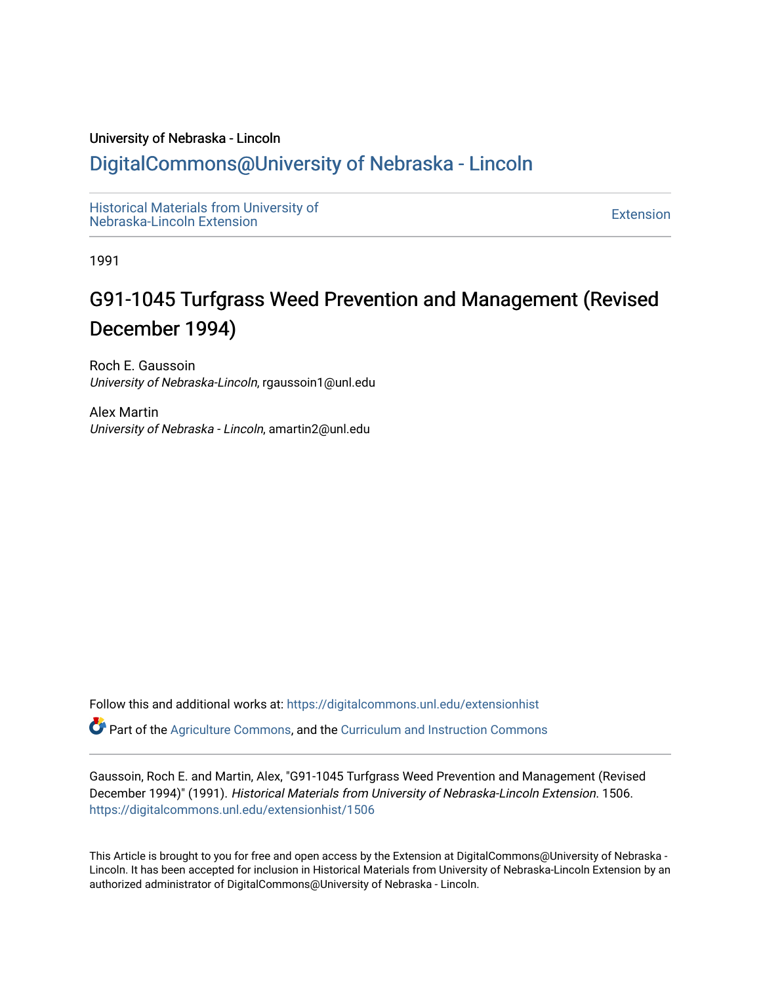#### University of Nebraska - Lincoln

# [DigitalCommons@University of Nebraska - Lincoln](https://digitalcommons.unl.edu/)

[Historical Materials from University of](https://digitalcommons.unl.edu/extensionhist)  nistorical Materials from Oniversity of the control of the control of the [Extension](https://digitalcommons.unl.edu/coop_extension) Extension extension of the<br>Nebraska-Lincoln Extension

1991

# G91-1045 Turfgrass Weed Prevention and Management (Revised December 1994)

Roch E. Gaussoin University of Nebraska-Lincoln, rgaussoin1@unl.edu

Alex Martin University of Nebraska - Lincoln, amartin2@unl.edu

Follow this and additional works at: [https://digitalcommons.unl.edu/extensionhist](https://digitalcommons.unl.edu/extensionhist?utm_source=digitalcommons.unl.edu%2Fextensionhist%2F1506&utm_medium=PDF&utm_campaign=PDFCoverPages) 

Part of the [Agriculture Commons](http://network.bepress.com/hgg/discipline/1076?utm_source=digitalcommons.unl.edu%2Fextensionhist%2F1506&utm_medium=PDF&utm_campaign=PDFCoverPages), and the [Curriculum and Instruction Commons](http://network.bepress.com/hgg/discipline/786?utm_source=digitalcommons.unl.edu%2Fextensionhist%2F1506&utm_medium=PDF&utm_campaign=PDFCoverPages) 

Gaussoin, Roch E. and Martin, Alex, "G91-1045 Turfgrass Weed Prevention and Management (Revised December 1994)" (1991). Historical Materials from University of Nebraska-Lincoln Extension. 1506. [https://digitalcommons.unl.edu/extensionhist/1506](https://digitalcommons.unl.edu/extensionhist/1506?utm_source=digitalcommons.unl.edu%2Fextensionhist%2F1506&utm_medium=PDF&utm_campaign=PDFCoverPages) 

This Article is brought to you for free and open access by the Extension at DigitalCommons@University of Nebraska - Lincoln. It has been accepted for inclusion in Historical Materials from University of Nebraska-Lincoln Extension by an authorized administrator of DigitalCommons@University of Nebraska - Lincoln.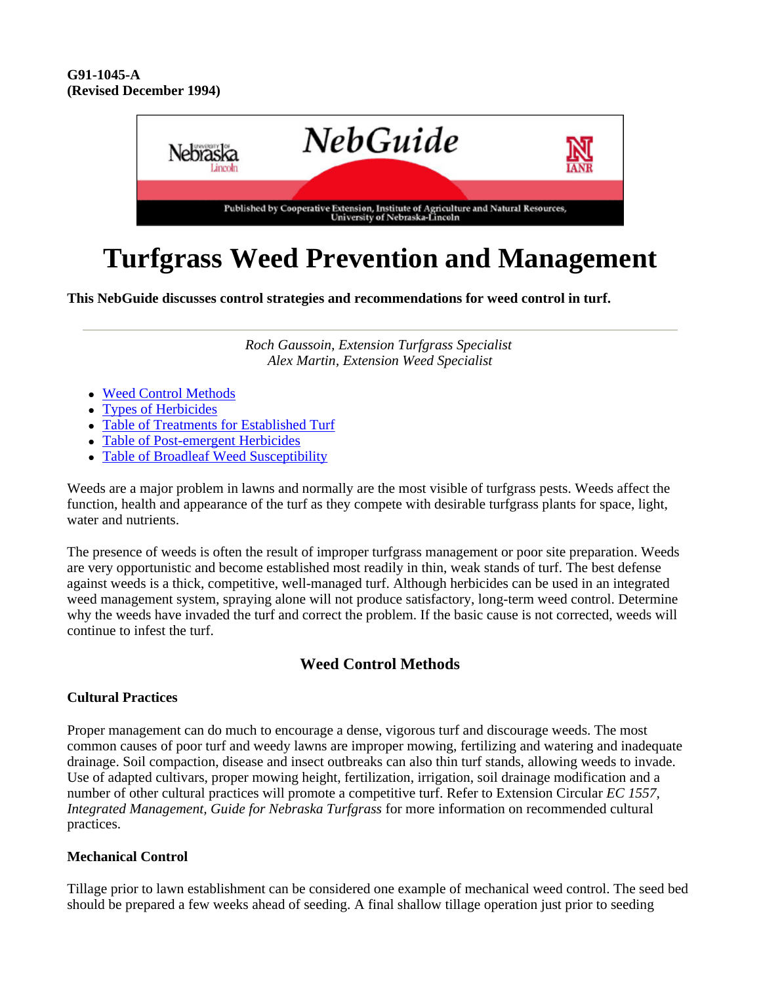

# **Turfgrass Weed Prevention and Management**

**This NebGuide discusses control strategies and recommendations for weed control in turf.**

*Roch Gaussoin, Extension Turfgrass Specialist Alex Martin, Extension Weed Specialist*

- Weed Control Methods
- Types of Herbicides
- Table of Treatments for Established Turf
- Table of Post-emergent Herbicides
- Table of Broadleaf Weed Susceptibility

Weeds are a major problem in lawns and normally are the most visible of turfgrass pests. Weeds affect the function, health and appearance of the turf as they compete with desirable turfgrass plants for space, light, water and nutrients.

The presence of weeds is often the result of improper turfgrass management or poor site preparation. Weeds are very opportunistic and become established most readily in thin, weak stands of turf. The best defense against weeds is a thick, competitive, well-managed turf. Although herbicides can be used in an integrated weed management system, spraying alone will not produce satisfactory, long-term weed control. Determine why the weeds have invaded the turf and correct the problem. If the basic cause is not corrected, weeds will continue to infest the turf.

### **Weed Control Methods**

#### **Cultural Practices**

Proper management can do much to encourage a dense, vigorous turf and discourage weeds. The most common causes of poor turf and weedy lawns are improper mowing, fertilizing and watering and inadequate drainage. Soil compaction, disease and insect outbreaks can also thin turf stands, allowing weeds to invade. Use of adapted cultivars, proper mowing height, fertilization, irrigation, soil drainage modification and a number of other cultural practices will promote a competitive turf. Refer to Extension Circular *EC 1557, Integrated Management, Guide for Nebraska Turfgrass* for more information on recommended cultural practices.

#### **Mechanical Control**

Tillage prior to lawn establishment can be considered one example of mechanical weed control. The seed bed should be prepared a few weeks ahead of seeding. A final shallow tillage operation just prior to seeding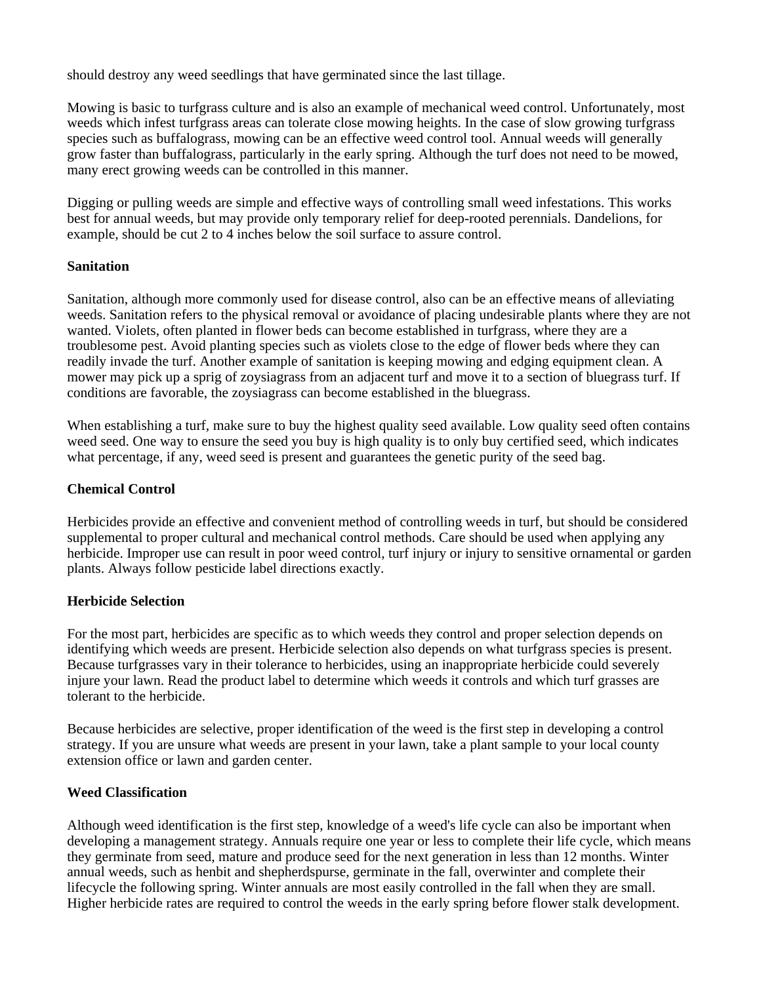should destroy any weed seedlings that have germinated since the last tillage.

Mowing is basic to turfgrass culture and is also an example of mechanical weed control. Unfortunately, most weeds which infest turfgrass areas can tolerate close mowing heights. In the case of slow growing turfgrass species such as buffalograss, mowing can be an effective weed control tool. Annual weeds will generally grow faster than buffalograss, particularly in the early spring. Although the turf does not need to be mowed, many erect growing weeds can be controlled in this manner.

Digging or pulling weeds are simple and effective ways of controlling small weed infestations. This works best for annual weeds, but may provide only temporary relief for deep-rooted perennials. Dandelions, for example, should be cut 2 to 4 inches below the soil surface to assure control.

#### **Sanitation**

Sanitation, although more commonly used for disease control, also can be an effective means of alleviating weeds. Sanitation refers to the physical removal or avoidance of placing undesirable plants where they are not wanted. Violets, often planted in flower beds can become established in turfgrass, where they are a troublesome pest. Avoid planting species such as violets close to the edge of flower beds where they can readily invade the turf. Another example of sanitation is keeping mowing and edging equipment clean. A mower may pick up a sprig of zoysiagrass from an adjacent turf and move it to a section of bluegrass turf. If conditions are favorable, the zoysiagrass can become established in the bluegrass.

When establishing a turf, make sure to buy the highest quality seed available. Low quality seed often contains weed seed. One way to ensure the seed you buy is high quality is to only buy certified seed, which indicates what percentage, if any, weed seed is present and guarantees the genetic purity of the seed bag.

#### **Chemical Control**

Herbicides provide an effective and convenient method of controlling weeds in turf, but should be considered supplemental to proper cultural and mechanical control methods. Care should be used when applying any herbicide. Improper use can result in poor weed control, turf injury or injury to sensitive ornamental or garden plants. Always follow pesticide label directions exactly.

#### **Herbicide Selection**

For the most part, herbicides are specific as to which weeds they control and proper selection depends on identifying which weeds are present. Herbicide selection also depends on what turfgrass species is present. Because turfgrasses vary in their tolerance to herbicides, using an inappropriate herbicide could severely injure your lawn. Read the product label to determine which weeds it controls and which turf grasses are tolerant to the herbicide.

Because herbicides are selective, proper identification of the weed is the first step in developing a control strategy. If you are unsure what weeds are present in your lawn, take a plant sample to your local county extension office or lawn and garden center.

#### **Weed Classification**

Although weed identification is the first step, knowledge of a weed's life cycle can also be important when developing a management strategy. Annuals require one year or less to complete their life cycle, which means they germinate from seed, mature and produce seed for the next generation in less than 12 months. Winter annual weeds, such as henbit and shepherdspurse, germinate in the fall, overwinter and complete their lifecycle the following spring. Winter annuals are most easily controlled in the fall when they are small. Higher herbicide rates are required to control the weeds in the early spring before flower stalk development.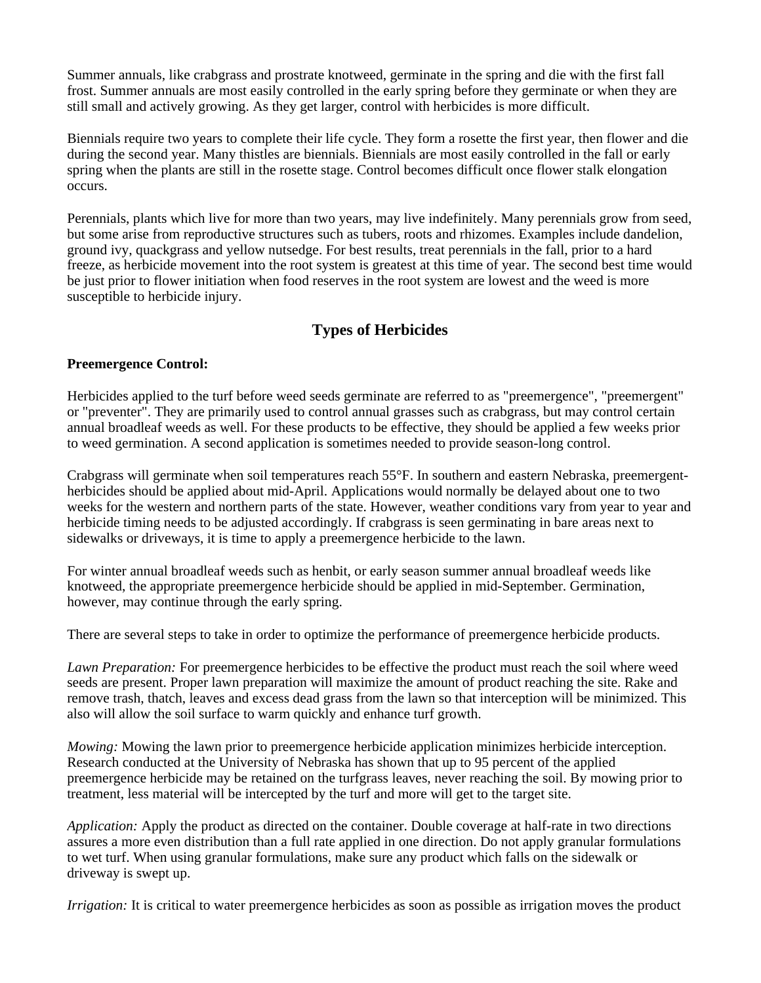Summer annuals, like crabgrass and prostrate knotweed, germinate in the spring and die with the first fall frost. Summer annuals are most easily controlled in the early spring before they germinate or when they are still small and actively growing. As they get larger, control with herbicides is more difficult.

Biennials require two years to complete their life cycle. They form a rosette the first year, then flower and die during the second year. Many thistles are biennials. Biennials are most easily controlled in the fall or early spring when the plants are still in the rosette stage. Control becomes difficult once flower stalk elongation occurs.

Perennials, plants which live for more than two years, may live indefinitely. Many perennials grow from seed, but some arise from reproductive structures such as tubers, roots and rhizomes. Examples include dandelion, ground ivy, quackgrass and yellow nutsedge. For best results, treat perennials in the fall, prior to a hard freeze, as herbicide movement into the root system is greatest at this time of year. The second best time would be just prior to flower initiation when food reserves in the root system are lowest and the weed is more susceptible to herbicide injury.

## **Types of Herbicides**

#### **Preemergence Control:**

Herbicides applied to the turf before weed seeds germinate are referred to as "preemergence", "preemergent" or "preventer". They are primarily used to control annual grasses such as crabgrass, but may control certain annual broadleaf weeds as well. For these products to be effective, they should be applied a few weeks prior to weed germination. A second application is sometimes needed to provide season-long control.

Crabgrass will germinate when soil temperatures reach 55°F. In southern and eastern Nebraska, preemergentherbicides should be applied about mid-April. Applications would normally be delayed about one to two weeks for the western and northern parts of the state. However, weather conditions vary from year to year and herbicide timing needs to be adjusted accordingly. If crabgrass is seen germinating in bare areas next to sidewalks or driveways, it is time to apply a preemergence herbicide to the lawn.

For winter annual broadleaf weeds such as henbit, or early season summer annual broadleaf weeds like knotweed, the appropriate preemergence herbicide should be applied in mid-September. Germination, however, may continue through the early spring.

There are several steps to take in order to optimize the performance of preemergence herbicide products.

*Lawn Preparation:* For preemergence herbicides to be effective the product must reach the soil where weed seeds are present. Proper lawn preparation will maximize the amount of product reaching the site. Rake and remove trash, thatch, leaves and excess dead grass from the lawn so that interception will be minimized. This also will allow the soil surface to warm quickly and enhance turf growth.

*Mowing:* Mowing the lawn prior to preemergence herbicide application minimizes herbicide interception. Research conducted at the University of Nebraska has shown that up to 95 percent of the applied preemergence herbicide may be retained on the turfgrass leaves, never reaching the soil. By mowing prior to treatment, less material will be intercepted by the turf and more will get to the target site.

*Application:* Apply the product as directed on the container. Double coverage at half-rate in two directions assures a more even distribution than a full rate applied in one direction. Do not apply granular formulations to wet turf. When using granular formulations, make sure any product which falls on the sidewalk or driveway is swept up.

*Irrigation:* It is critical to water preemergence herbicides as soon as possible as irrigation moves the product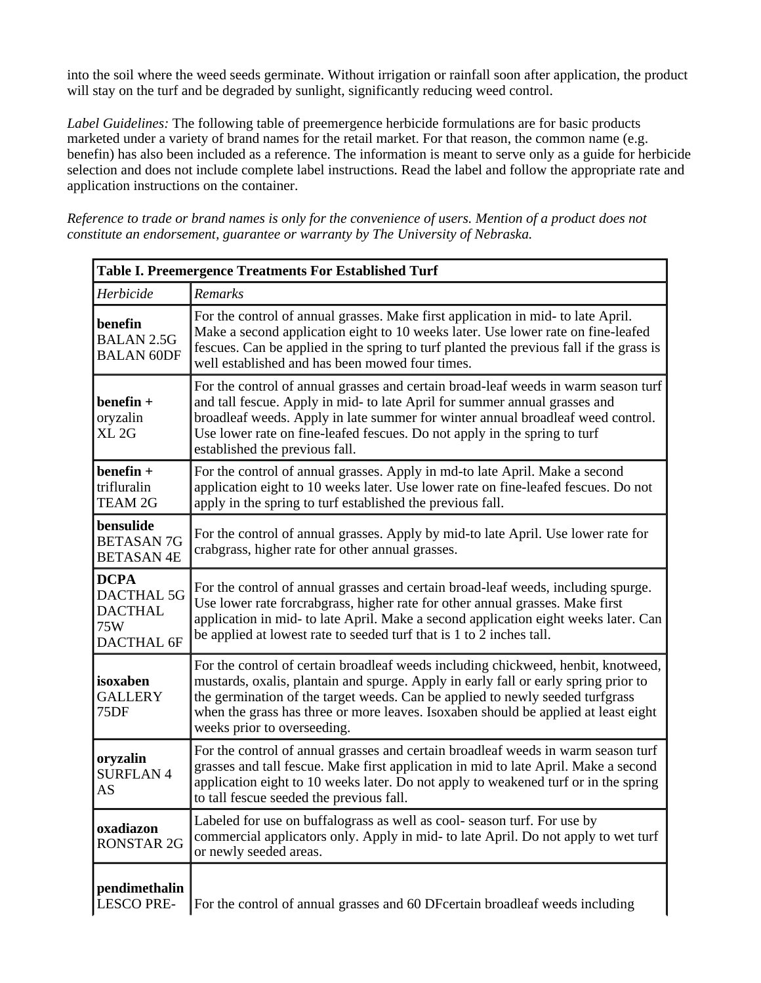into the soil where the weed seeds germinate. Without irrigation or rainfall soon after application, the product will stay on the turf and be degraded by sunlight, significantly reducing weed control.

*Label Guidelines:* The following table of preemergence herbicide formulations are for basic products marketed under a variety of brand names for the retail market. For that reason, the common name (e.g. benefin) has also been included as a reference. The information is meant to serve only as a guide for herbicide selection and does not include complete label instructions. Read the label and follow the appropriate rate and application instructions on the container.

*Reference to trade or brand names is only for the convenience of users. Mention of a product does not constitute an endorsement, guarantee or warranty by The University of Nebraska.*

| <b>Table I. Preemergence Treatments For Established Turf</b>     |                                                                                                                                                                                                                                                                                                                                                                                |  |  |
|------------------------------------------------------------------|--------------------------------------------------------------------------------------------------------------------------------------------------------------------------------------------------------------------------------------------------------------------------------------------------------------------------------------------------------------------------------|--|--|
| Herbicide                                                        | Remarks                                                                                                                                                                                                                                                                                                                                                                        |  |  |
| benefin<br><b>BALAN 2.5G</b><br><b>BALAN 60DF</b>                | For the control of annual grasses. Make first application in mid- to late April.<br>Make a second application eight to 10 weeks later. Use lower rate on fine-leafed<br>fescues. Can be applied in the spring to turf planted the previous fall if the grass is<br>well established and has been mowed four times.                                                             |  |  |
| $b$ enefin +<br>oryzalin<br>XL <sub>2G</sub>                     | For the control of annual grasses and certain broad-leaf weeds in warm season turf<br>and tall fescue. Apply in mid- to late April for summer annual grasses and<br>broadleaf weeds. Apply in late summer for winter annual broadleaf weed control.<br>Use lower rate on fine-leafed fescues. Do not apply in the spring to turf<br>established the previous fall.             |  |  |
| $b$ enefin +<br>trifluralin<br><b>TEAM 2G</b>                    | For the control of annual grasses. Apply in md-to late April. Make a second<br>application eight to 10 weeks later. Use lower rate on fine-leafed fescues. Do not<br>apply in the spring to turf established the previous fall.                                                                                                                                                |  |  |
| bensulide<br><b>BETASAN7G</b><br><b>BETASAN4E</b>                | For the control of annual grasses. Apply by mid-to late April. Use lower rate for<br>crabgrass, higher rate for other annual grasses.                                                                                                                                                                                                                                          |  |  |
| <b>DCPA</b><br>DACTHAL 5G<br><b>DACTHAL</b><br>75W<br>DACTHAL 6F | For the control of annual grasses and certain broad-leaf weeds, including spurge.<br>Use lower rate forcrabgrass, higher rate for other annual grasses. Make first<br>application in mid- to late April. Make a second application eight weeks later. Can<br>be applied at lowest rate to seeded turf that is 1 to 2 inches tall.                                              |  |  |
| isoxaben<br><b>GALLERY</b><br>75DF                               | For the control of certain broadleaf weeds including chickweed, henbit, knotweed,<br>mustards, oxalis, plantain and spurge. Apply in early fall or early spring prior to<br>the germination of the target weeds. Can be applied to newly seeded turfgrass<br>when the grass has three or more leaves. Isoxaben should be applied at least eight<br>weeks prior to overseeding. |  |  |
| oryzalin<br><b>SURFLAN4</b><br>AS                                | For the control of annual grasses and certain broadleaf weeds in warm season turf<br>grasses and tall fescue. Make first application in mid to late April. Make a second<br>application eight to 10 weeks later. Do not apply to weakened turf or in the spring<br>to tall fescue seeded the previous fall.                                                                    |  |  |
| oxadiazon<br><b>RONSTAR 2G</b>                                   | Labeled for use on buffalograss as well as cool-season turf. For use by<br>commercial applicators only. Apply in mid- to late April. Do not apply to wet turf<br>or newly seeded areas.                                                                                                                                                                                        |  |  |
| pendimethalin<br><b>LESCO PRE-</b>                               | For the control of annual grasses and 60 DF certain broadleaf weeds including                                                                                                                                                                                                                                                                                                  |  |  |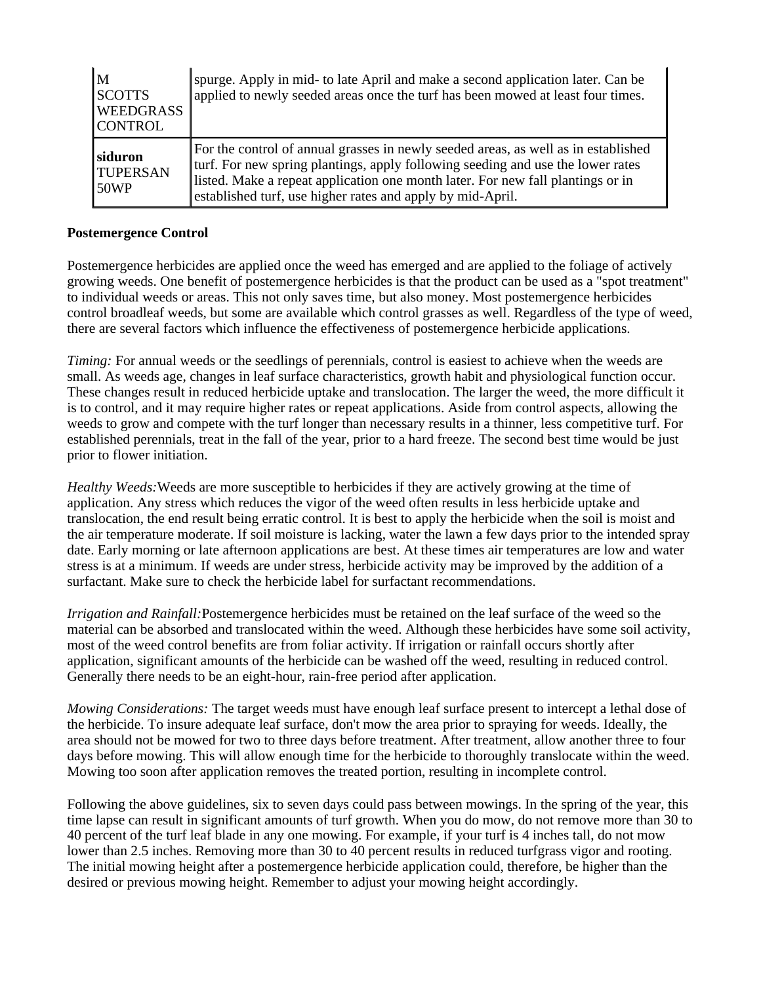| M<br><b>SCOTTS</b><br><b>WEEDGRASS</b><br><b>CONTROL</b> | spurge. Apply in mid- to late April and make a second application later. Can be<br>applied to newly seeded areas once the turf has been mowed at least four times.                                                                                                                                                     |
|----------------------------------------------------------|------------------------------------------------------------------------------------------------------------------------------------------------------------------------------------------------------------------------------------------------------------------------------------------------------------------------|
| siduron<br><b>TUPERSAN</b><br>50WP                       | For the control of annual grasses in newly seeded areas, as well as in established<br>turf. For new spring plantings, apply following seeding and use the lower rates<br>listed. Make a repeat application one month later. For new fall plantings or in<br>established turf, use higher rates and apply by mid-April. |

#### **Postemergence Control**

Postemergence herbicides are applied once the weed has emerged and are applied to the foliage of actively growing weeds. One benefit of postemergence herbicides is that the product can be used as a "spot treatment" to individual weeds or areas. This not only saves time, but also money. Most postemergence herbicides control broadleaf weeds, but some are available which control grasses as well. Regardless of the type of weed, there are several factors which influence the effectiveness of postemergence herbicide applications.

*Timing:* For annual weeds or the seedlings of perennials, control is easiest to achieve when the weeds are small. As weeds age, changes in leaf surface characteristics, growth habit and physiological function occur. These changes result in reduced herbicide uptake and translocation. The larger the weed, the more difficult it is to control, and it may require higher rates or repeat applications. Aside from control aspects, allowing the weeds to grow and compete with the turf longer than necessary results in a thinner, less competitive turf. For established perennials, treat in the fall of the year, prior to a hard freeze. The second best time would be just prior to flower initiation.

*Healthy Weeds:*Weeds are more susceptible to herbicides if they are actively growing at the time of application. Any stress which reduces the vigor of the weed often results in less herbicide uptake and translocation, the end result being erratic control. It is best to apply the herbicide when the soil is moist and the air temperature moderate. If soil moisture is lacking, water the lawn a few days prior to the intended spray date. Early morning or late afternoon applications are best. At these times air temperatures are low and water stress is at a minimum. If weeds are under stress, herbicide activity may be improved by the addition of a surfactant. Make sure to check the herbicide label for surfactant recommendations.

*Irrigation and Rainfall:*Postemergence herbicides must be retained on the leaf surface of the weed so the material can be absorbed and translocated within the weed. Although these herbicides have some soil activity, most of the weed control benefits are from foliar activity. If irrigation or rainfall occurs shortly after application, significant amounts of the herbicide can be washed off the weed, resulting in reduced control. Generally there needs to be an eight-hour, rain-free period after application.

*Mowing Considerations:* The target weeds must have enough leaf surface present to intercept a lethal dose of the herbicide. To insure adequate leaf surface, don't mow the area prior to spraying for weeds. Ideally, the area should not be mowed for two to three days before treatment. After treatment, allow another three to four days before mowing. This will allow enough time for the herbicide to thoroughly translocate within the weed. Mowing too soon after application removes the treated portion, resulting in incomplete control.

Following the above guidelines, six to seven days could pass between mowings. In the spring of the year, this time lapse can result in significant amounts of turf growth. When you do mow, do not remove more than 30 to 40 percent of the turf leaf blade in any one mowing. For example, if your turf is 4 inches tall, do not mow lower than 2.5 inches. Removing more than 30 to 40 percent results in reduced turfgrass vigor and rooting. The initial mowing height after a postemergence herbicide application could, therefore, be higher than the desired or previous mowing height. Remember to adjust your mowing height accordingly.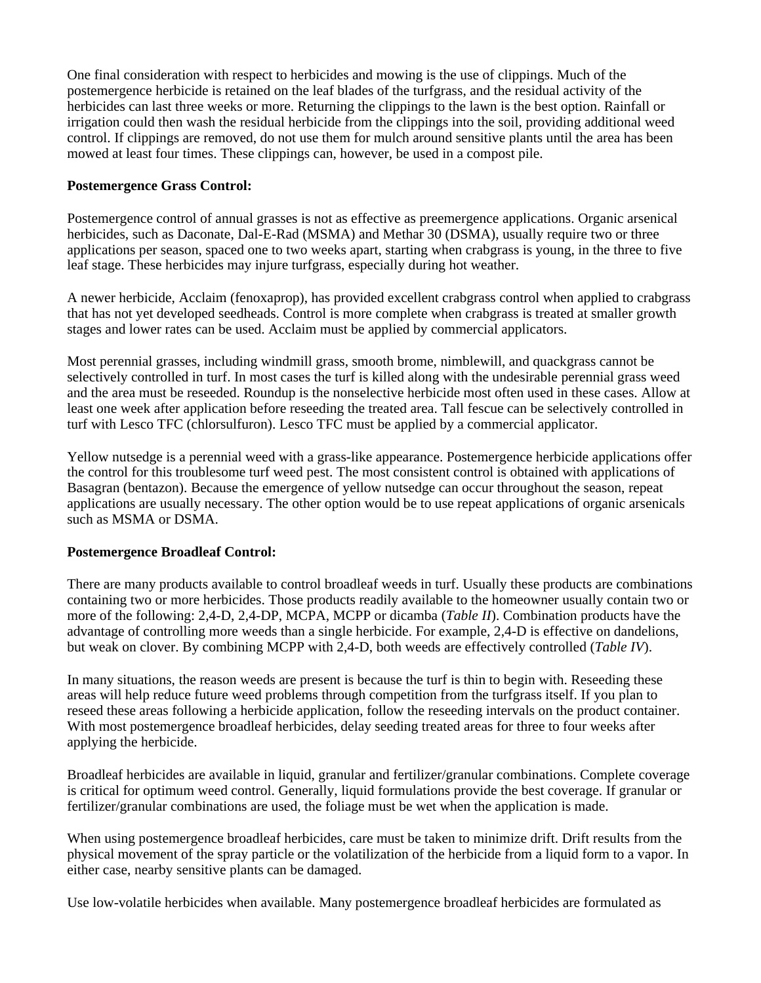One final consideration with respect to herbicides and mowing is the use of clippings. Much of the postemergence herbicide is retained on the leaf blades of the turfgrass, and the residual activity of the herbicides can last three weeks or more. Returning the clippings to the lawn is the best option. Rainfall or irrigation could then wash the residual herbicide from the clippings into the soil, providing additional weed control. If clippings are removed, do not use them for mulch around sensitive plants until the area has been mowed at least four times. These clippings can, however, be used in a compost pile.

#### **Postemergence Grass Control:**

Postemergence control of annual grasses is not as effective as preemergence applications. Organic arsenical herbicides, such as Daconate, Dal-E-Rad (MSMA) and Methar 30 (DSMA), usually require two or three applications per season, spaced one to two weeks apart, starting when crabgrass is young, in the three to five leaf stage. These herbicides may injure turfgrass, especially during hot weather.

A newer herbicide, Acclaim (fenoxaprop), has provided excellent crabgrass control when applied to crabgrass that has not yet developed seedheads. Control is more complete when crabgrass is treated at smaller growth stages and lower rates can be used. Acclaim must be applied by commercial applicators.

Most perennial grasses, including windmill grass, smooth brome, nimblewill, and quackgrass cannot be selectively controlled in turf. In most cases the turf is killed along with the undesirable perennial grass weed and the area must be reseeded. Roundup is the nonselective herbicide most often used in these cases. Allow at least one week after application before reseeding the treated area. Tall fescue can be selectively controlled in turf with Lesco TFC (chlorsulfuron). Lesco TFC must be applied by a commercial applicator.

Yellow nutsedge is a perennial weed with a grass-like appearance. Postemergence herbicide applications offer the control for this troublesome turf weed pest. The most consistent control is obtained with applications of Basagran (bentazon). Because the emergence of yellow nutsedge can occur throughout the season, repeat applications are usually necessary. The other option would be to use repeat applications of organic arsenicals such as MSMA or DSMA.

#### **Postemergence Broadleaf Control:**

There are many products available to control broadleaf weeds in turf. Usually these products are combinations containing two or more herbicides. Those products readily available to the homeowner usually contain two or more of the following: 2,4-D, 2,4-DP, MCPA, MCPP or dicamba (*Table II*). Combination products have the advantage of controlling more weeds than a single herbicide. For example, 2,4-D is effective on dandelions, but weak on clover. By combining MCPP with 2,4-D, both weeds are effectively controlled (*Table IV*).

In many situations, the reason weeds are present is because the turf is thin to begin with. Reseeding these areas will help reduce future weed problems through competition from the turfgrass itself. If you plan to reseed these areas following a herbicide application, follow the reseeding intervals on the product container. With most postemergence broadleaf herbicides, delay seeding treated areas for three to four weeks after applying the herbicide.

Broadleaf herbicides are available in liquid, granular and fertilizer/granular combinations. Complete coverage is critical for optimum weed control. Generally, liquid formulations provide the best coverage. If granular or fertilizer/granular combinations are used, the foliage must be wet when the application is made.

When using postemergence broadleaf herbicides, care must be taken to minimize drift. Drift results from the physical movement of the spray particle or the volatilization of the herbicide from a liquid form to a vapor. In either case, nearby sensitive plants can be damaged.

Use low-volatile herbicides when available. Many postemergence broadleaf herbicides are formulated as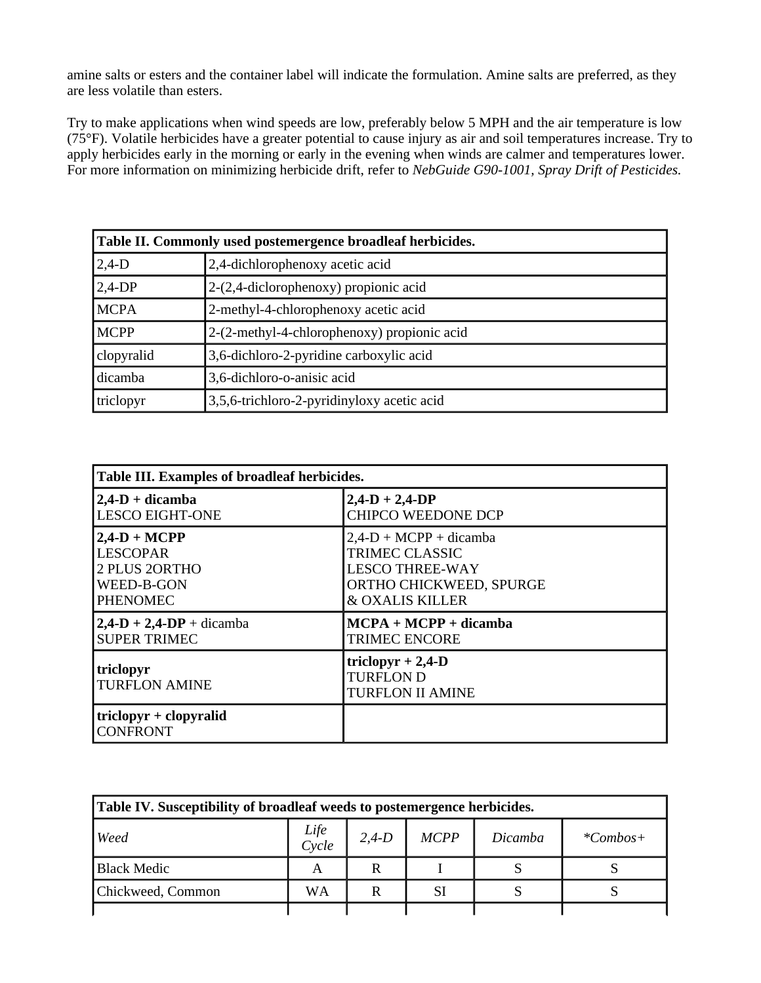amine salts or esters and the container label will indicate the formulation. Amine salts are preferred, as they are less volatile than esters.

Try to make applications when wind speeds are low, preferably below 5 MPH and the air temperature is low (75°F). Volatile herbicides have a greater potential to cause injury as air and soil temperatures increase. Try to apply herbicides early in the morning or early in the evening when winds are calmer and temperatures lower. For more information on minimizing herbicide drift, refer to *NebGuide G90-1001, Spray Drift of Pesticides.*

| Table II. Commonly used postemergence broadleaf herbicides. |                                             |  |  |
|-------------------------------------------------------------|---------------------------------------------|--|--|
| $2,4-D$                                                     | 2,4-dichlorophenoxy acetic acid             |  |  |
| $2,4-DP$                                                    | $2-(2,4-diclorophenoxy)$ propionic acid     |  |  |
| <b>MCPA</b>                                                 | 2-methyl-4-chlorophenoxy acetic acid        |  |  |
| <b>MCPP</b>                                                 | 2-(2-methyl-4-chlorophenoxy) propionic acid |  |  |
| clopyralid                                                  | 3,6-dichloro-2-pyridine carboxylic acid     |  |  |
| dicamba                                                     | 3,6-dichloro-o-anisic acid                  |  |  |
| triclopyr                                                   | 3,5,6-trichloro-2-pyridinyloxy acetic acid  |  |  |

| Table III. Examples of broadleaf herbicides. |                                                                     |  |  |  |  |
|----------------------------------------------|---------------------------------------------------------------------|--|--|--|--|
| $2,4$ -D + dicamba                           | $2,4-D + 2,4-DP$                                                    |  |  |  |  |
| <b>LESCO EIGHT-ONE</b>                       | <b>CHIPCO WEEDONE DCP</b>                                           |  |  |  |  |
| $2,4-D + MCPP$                               | $2,4-D + MCPP + dicamba$                                            |  |  |  |  |
| <b>LESCOPAR</b>                              | <b>TRIMEC CLASSIC</b>                                               |  |  |  |  |
| 2 PLUS 2ORTHO                                | <b>LESCO THREE-WAY</b>                                              |  |  |  |  |
| WEED-B-GON                                   | ORTHO CHICKWEED, SPURGE                                             |  |  |  |  |
| <b>PHENOMEC</b>                              | & OXALIS KILLER                                                     |  |  |  |  |
| $2,4-D + 2,4-DP + dicamba$                   | $MCPA + MCPP + dicamba$                                             |  |  |  |  |
| <b>SUPER TRIMEC</b>                          | <b>TRIMEC ENCORE</b>                                                |  |  |  |  |
| triclopyr<br><b>TURFLON AMINE</b>            | triclopyr $+ 2,4$ -D<br><b>TURFLON D</b><br><b>TURFLON II AMINE</b> |  |  |  |  |
| $triclopyr + clopyralid$<br><b>CONFRONT</b>  |                                                                     |  |  |  |  |

| Table IV. Susceptibility of broadleaf weeds to postemergence herbicides. |               |         |                |         |            |  |
|--------------------------------------------------------------------------|---------------|---------|----------------|---------|------------|--|
| Weed                                                                     | Life<br>Cycle | $2,4-D$ | <b>MCPP</b>    | Dicamba | $*Combos+$ |  |
| <b>Black Medic</b>                                                       |               |         |                |         |            |  |
| Chickweed, Common                                                        | WA            |         | S <sub>1</sub> |         |            |  |
|                                                                          |               |         |                |         |            |  |